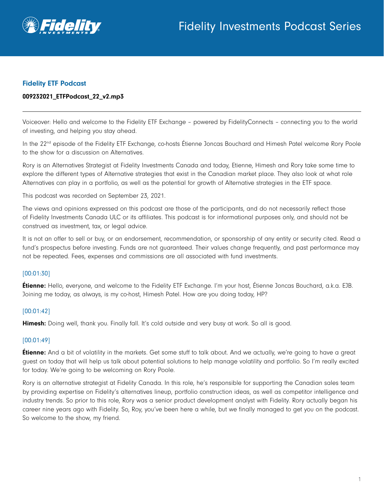

### Fidelity ETF Podcast

#### 009232021\_ETFPodcast\_22\_v2.mp3

Voiceover: Hello and welcome to the Fidelity ETF Exchange – powered by FidelityConnects – connecting you to the world of investing, and helping you stay ahead.

In the 22<sup>nd</sup> episode of the Fidelity ETF Exchange, co-hosts Étienne Joncas Bouchard and Himesh Patel welcome Rory Poole to the show for a discussion on Alternatives.

Rory is an Alternatives Strategist at Fidelity Investments Canada and today, Etienne, Himesh and Rory take some time to explore the different types of Alternative strategies that exist in the Canadian market place. They also look at what role Alternatives can play in a portfolio, as well as the potential for growth of Alternative strategies in the ETF space.

This podcast was recorded on September 23, 2021.

The views and opinions expressed on this podcast are those of the participants, and do not necessarily reflect those of Fidelity Investments Canada ULC or its affiliates. This podcast is for informational purposes only, and should not be construed as investment, tax, or legal advice.

It is not an offer to sell or buy, or an endorsement, recommendation, or sponsorship of any entity or security cited. Read a fund's prospectus before investing. Funds are not guaranteed. Their values change frequently, and past performance may not be repeated. Fees, expenses and commissions are all associated with fund investments.

#### [00:01:30]

Étienne: Hello, everyone, and welcome to the Fidelity ETF Exchange. I'm your host, Étienne Joncas Bouchard, a.k.a. EJB. Joining me today, as always, is my co-host, Himesh Patel. How are you doing today, HP?

#### [00:01:42]

Himesh: Doing well, thank you. Finally fall. It's cold outside and very busy at work. So all is good.

#### [00:01:49]

**Étienne:** And a bit of volatility in the markets. Get some stuff to talk about. And we actually, we're going to have a great guest on today that will help us talk about potential solutions to help manage volatility and portfolio. So I'm really excited for today. We're going to be welcoming on Rory Poole.

Rory is an alternative strategist at Fidelity Canada. In this role, he's responsible for supporting the Canadian sales team by providing expertise on Fidelity's alternatives lineup, portfolio construction ideas, as well as competitor intelligence and industry trends. So prior to this role, Rory was a senior product development analyst with Fidelity. Rory actually began his career nine years ago with Fidelity. So, Roy, you've been here a while, but we finally managed to get you on the podcast. So welcome to the show, my friend.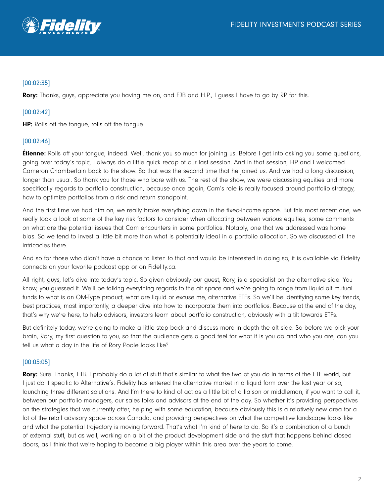

# [00:02:35]

**Rory:** Thanks, guys, appreciate you having me on, and EJB and H.P., I guess I have to go by RP for this.

# [00:02:42]

HP: Rolls off the tongue, rolls off the tongue

### [00:02:46]

**Étienne:** Rolls off your tongue, indeed. Well, thank you so much for joining us. Before I get into asking you some questions, going over today's topic, I always do a little quick recap of our last session. And in that session, HP and I welcomed Cameron Chamberlain back to the show. So that was the second time that he joined us. And we had a long discussion, longer than usual. So thank you for those who bore with us. The rest of the show, we were discussing equities and more specifically regards to portfolio construction, because once again, Cam's role is really focused around portfolio strategy, how to optimize portfolios from a risk and return standpoint.

And the first time we had him on, we really broke everything down in the fixed-income space. But this most recent one, we really took a look at some of the key risk factors to consider when allocating between various equities, some comments on what are the potential issues that Cam encounters in some portfolios. Notably, one that we addressed was home bias. So we tend to invest a little bit more than what is potentially ideal in a portfolio allocation. So we discussed all the intricacies there.

And so for those who didn't have a chance to listen to that and would be interested in doing so, it is available via Fidelity connects on your favorite podcast app or on Fidelity.ca.

All right, guys, let's dive into today's topic. So given obviously our guest, Rory, is a specialist on the alternative side. You know, you guessed it. We'll be talking everything regards to the alt space and we're going to range from liquid alt mutual funds to what is an OM-Type product, what are liquid or excuse me, alternative ETFs. So we'll be identifying some key trends, best practices, most importantly, a deeper dive into how to incorporate them into portfolios. Because at the end of the day, that's why we're here, to help advisors, investors learn about portfolio construction, obviously with a tilt towards ETFs.

But definitely today, we're going to make a little step back and discuss more in depth the alt side. So before we pick your brain, Rory, my first question to you, so that the audience gets a good feel for what it is you do and who you are, can you tell us what a day in the life of Rory Poole looks like?

#### [00:05:05]

Rory: Sure. Thanks, EJB. I probably do a lot of stuff that's similar to what the two of you do in terms of the ETF world, but I just do it specific to Alternative's. Fidelity has entered the alternative market in a liquid form over the last year or so, launching three different solutions. And I'm there to kind of act as a little bit of a liaison or middleman, if you want to call it, between our portfolio managers, our sales folks and advisors at the end of the day. So whether it's providing perspectives on the strategies that we currently offer, helping with some education, because obviously this is a relatively new area for a lot of the retail advisory space across Canada, and providing perspectives on what the competitive landscape looks like and what the potential trajectory is moving forward. That's what I'm kind of here to do. So it's a combination of a bunch of external stuff, but as well, working on a bit of the product development side and the stuff that happens behind closed doors, as I think that we're hoping to become a big player within this area over the years to come.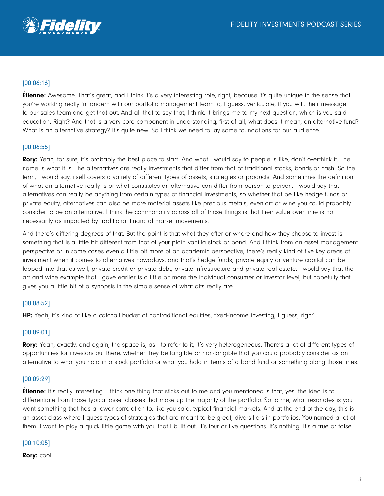

# [00:06:16]

**Étienne:** Awesome. That's great, and I think it's a very interesting role, right, because it's quite unique in the sense that you're working really in tandem with our portfolio management team to, I quess, vehiculate, if you will, their message to our sales team and get that out. And all that to say that, I think, it brings me to my next question, which is you said education. Right? And that is a very core component in understanding, first of all, what does it mean, an alternative fund? What is an alternative strategy? It's quite new. So I think we need to lay some foundations for our audience.

### [00:06:55]

Rory: Yeah, for sure, it's probably the best place to start. And what I would say to people is like, don't overthink it. The name is what it is. The alternatives are really investments that differ from that of traditional stocks, bonds or cash. So the term, I would say, itself covers a variety of different types of assets, strategies or products. And sometimes the definition of what an alternative really is or what constitutes an alternative can differ from person to person. I would say that alternatives can really be anything from certain types of financial investments, so whether that be like hedge funds or private equity, alternatives can also be more material assets like precious metals, even art or wine you could probably consider to be an alternative. I think the commonality across all of those things is that their value over time is not necessarily as impacted by traditional financial market movements.

And there's differing degrees of that. But the point is that what they offer or where and how they choose to invest is something that is a little bit different from that of your plain vanilla stock or bond. And I think from an asset management perspective or in some cases even a little bit more of an academic perspective, there's really kind of five key areas of investment when it comes to alternatives nowadays, and that's hedge funds; private equity or venture capital can be looped into that as well, private credit or private debt, private infrastructure and private real estate. I would say that the art and wine example that I gave earlier is a little bit more the individual consumer or investor level, but hopefully that gives you a little bit of a synopsis in the simple sense of what alts really are.

#### [00:08:52]

HP: Yeah, it's kind of like a catchall bucket of nontraditional equities, fixed-income investing, I guess, right?

#### [00:09:01]

Rory: Yeah, exactly, and again, the space is, as I to refer to it, it's very heterogeneous. There's a lot of different types of opportunities for investors out there, whether they be tangible or non-tangible that you could probably consider as an alternative to what you hold in a stock portfolio or what you hold in terms of a bond fund or something along those lines.

#### [00:09:29]

**Étienne:** It's really interesting. I think one thing that sticks out to me and you mentioned is that, yes, the idea is to differentiate from those typical asset classes that make up the majority of the portfolio. So to me, what resonates is you want something that has a lower correlation to, like you said, typical financial markets. And at the end of the day, this is an asset class where I guess types of strategies that are meant to be great, diversifiers in portfolios. You named a lot of them. I want to play a quick little game with you that I built out. It's four or five questions. It's nothing. It's a true or false.

#### [00:10:05]

Rory: cool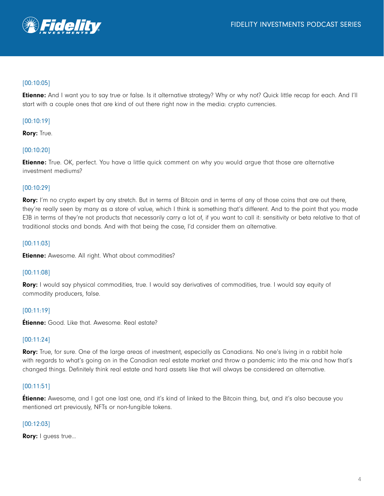

## [00:10:05]

Etienne: And I want you to say true or false. Is it alternative strategy? Why or why not? Quick little recap for each. And I'll start with a couple ones that are kind of out there right now in the media: crypto currencies.

## [00:10:19]

Rory: True.

## [00:10:20]

**Etienne:** True. OK, perfect. You have a little quick comment on why you would argue that those are alternative investment mediums?

### [00:10:29]

Rory: I'm no crypto expert by any stretch. But in terms of Bitcoin and in terms of any of those coins that are out there, they're really seen by many as a store of value, which I think is something that's different. And to the point that you made EJB in terms of they're not products that necessarily carry a lot of, if you want to call it: sensitivity or beta relative to that of traditional stocks and bonds. And with that being the case, I'd consider them an alternative.

### [00:11:03]

**Etienne:** Awesome. All right. What about commodities?

#### [00:11:08]

Rory: I would say physical commodities, true. I would say derivatives of commodities, true. I would say equity of commodity producers, false.

### [00:11:19]

**Étienne:** Good. Like that. Awesome. Real estate?

#### [00:11:24]

Rory: True, for sure. One of the large areas of investment, especially as Canadians. No one's living in a rabbit hole with regards to what's going on in the Canadian real estate market and throw a pandemic into the mix and how that's changed things. Definitely think real estate and hard assets like that will always be considered an alternative.

### [00:11:51]

**Etienne:** Awesome, and I got one last one, and it's kind of linked to the Bitcoin thing, but, and it's also because you mentioned art previously, NFTs or non-fungible tokens.

#### [00:12:03]

Rory: I quess true...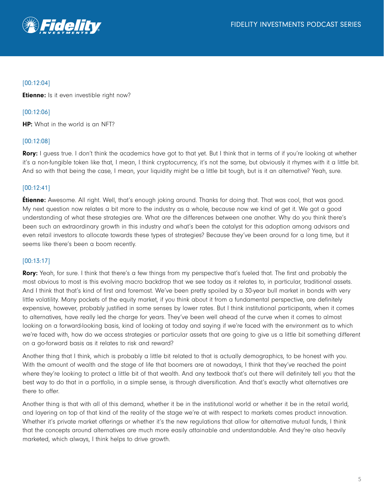

## [00:12:04]

**Etienne:** Is it even investible right now?

[00:12:06]

HP: What in the world is an NFT?

### [00:12:08]

Rory: I guess true. I don't think the academics have got to that yet. But I think that in terms of if you're looking at whether it's a non-fungible token like that, I mean, I think cryptocurrency, it's not the same, but obviously it rhymes with it a little bit. And so with that being the case, I mean, your liquidity might be a little bit tough, but is it an alternative? Yeah, sure.

### [00:12:41]

**Étienne:** Awesome. All right. Well, that's enough joking around. Thanks for doing that. That was cool, that was good. My next question now relates a bit more to the industry as a whole, because now we kind of get it. We got a good understanding of what these strategies are. What are the differences between one another. Why do you think there's been such an extraordinary growth in this industry and what's been the catalyst for this adoption among advisors and even retail investors to allocate towards these types of strategies? Because they've been around for a long time, but it seems like there's been a boom recently.

#### [00:13:17]

Rory: Yeah, for sure. I think that there's a few things from my perspective that's fueled that. The first and probably the most obvious to most is this evolving macro backdrop that we see today as it relates to, in particular, traditional assets. And I think that that's kind of first and foremost. We've been pretty spoiled by a 30-year bull market in bonds with very little volatility. Many pockets of the equity market, if you think about it from a fundamental perspective, are definitely expensive, however, probably justified in some senses by lower rates. But I think institutional participants, when it comes to alternatives, have really led the charge for years. They've been well ahead of the curve when it comes to almost looking on a forward-looking basis, kind of looking at today and saying if we're faced with the environment as to which we're faced with, how do we access strategies or particular assets that are going to give us a little bit something different on a go-forward basis as it relates to risk and reward?

Another thing that I think, which is probably a little bit related to that is actually demographics, to be honest with you. With the amount of wealth and the stage of life that boomers are at nowadays, I think that they've reached the point where they're looking to protect a little bit of that wealth. And any textbook that's out there will definitely tell you that the best way to do that in a portfolio, in a simple sense, is through diversification. And that's exactly what alternatives are there to offer.

Another thing is that with all of this demand, whether it be in the institutional world or whether it be in the retail world, and layering on top of that kind of the reality of the stage we're at with respect to markets comes product innovation. Whether it's private market offerings or whether it's the new regulations that allow for alternative mutual funds, I think that the concepts around alternatives are much more easily attainable and understandable. And they're also heavily marketed, which always, I think helps to drive growth.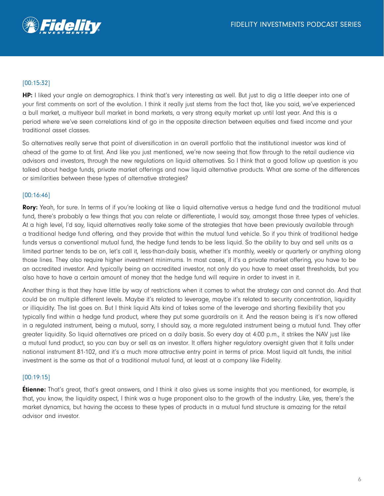

# [00:15:32]

HP: I liked your angle on demographics. I think that's very interesting as well. But just to dig a little deeper into one of your first comments on sort of the evolution. I think it really just stems from the fact that, like you said, we've experienced a bull market, a multiyear bull market in bond markets, a very strong equity market up until last year. And this is a period where we've seen correlations kind of go in the opposite direction between equities and fixed income and your traditional asset classes.

So alternatives really serve that point of diversification in an overall portfolio that the institutional investor was kind of ahead of the game to at first. And like you just mentioned, we're now seeing that flow through to the retail audience via advisors and investors, through the new regulations on liquid alternatives. So I think that a good follow up question is you talked about hedge funds, private market offerings and now liquid alternative products. What are some of the differences or similarities between these types of alternative strategies?

### [00:16:46]

Rory: Yeah, for sure. In terms of if you're looking at like a liquid alternative versus a hedge fund and the traditional mutual fund, there's probably a few things that you can relate or differentiate, I would say, amongst those three types of vehicles. At a high level, I'd say, liquid alternatives really take some of the strategies that have been previously available through a traditional hedge fund offering, and they provide that within the mutual fund vehicle. So if you think of traditional hedge funds versus a conventional mutual fund, the hedge fund tends to be less liquid. So the ability to buy and sell units as a limited partner tends to be on, let's call it, less-than-daily basis, whether it's monthly, weekly or quarterly or anything along those lines. They also require higher investment minimums. In most cases, if it's a private market offering, you have to be an accredited investor. And typically being an accredited investor, not only do you have to meet asset thresholds, but you also have to have a certain amount of money that the hedge fund will require in order to invest in it.

Another thing is that they have little by way of restrictions when it comes to what the strategy can and cannot do. And that could be on multiple different levels. Maybe it's related to leverage, maybe it's related to security concentration, liquidity or illiquidity. The list goes on. But I think liquid Alts kind of takes some of the leverage and shorting flexibility that you typically find within a hedge fund product, where they put some guardrails on it. And the reason being is it's now offered in a regulated instrument, being a mutual, sorry, I should say, a more regulated instrument being a mutual fund. They offer greater liquidity. So liquid alternatives are priced on a daily basis. So every day at 4:00 p.m., it strikes the NAV just like a mutual fund product, so you can buy or sell as an investor. It offers higher regulatory oversight given that it falls under national instrument 81-102, and it's a much more attractive entry point in terms of price. Most liquid alt funds, the initial investment is the same as that of a traditional mutual fund, at least at a company like Fidelity.

#### [00:19:15]

**Étienne:** That's great, that's great answers, and I think it also gives us some insights that you mentioned, for example, is that, you know, the liquidity aspect, I think was a huge proponent also to the growth of the industry. Like, yes, there's the market dynamics, but having the access to these types of products in a mutual fund structure is amazing for the retail advisor and investor.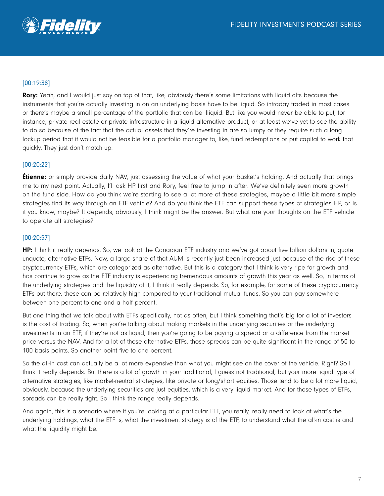

# [00:19:38]

Rory: Yeah, and I would just say on top of that, like, obviously there's some limitations with liquid alts because the instruments that you're actually investing in on an underlying basis have to be liquid. So intraday traded in most cases or there's maybe a small percentage of the portfolio that can be illiquid. But like you would never be able to put, for instance, private real estate or private infrastructure in a liquid alternative product, or at least we've yet to see the ability to do so because of the fact that the actual assets that they're investing in are so lumpy or they require such a long lockup period that it would not be feasible for a portfolio manager to, like, fund redemptions or put capital to work that quickly. They just don't match up.

### [00:20:22]

**Étienne:** or simply provide daily NAV, just assessing the value of what your basket's holding. And actually that brings me to my next point. Actually, I'll ask HP first and Rory, feel free to jump in after. We've definitely seen more growth on the fund side. How do you think we're starting to see a lot more of these strategies, maybe a little bit more simple strategies find its way through an ETF vehicle? And do you think the ETF can support these types of strategies HP, or is it you know, maybe? It depends, obviously, I think might be the answer. But what are your thoughts on the ETF vehicle to operate alt strategies?

### [00:20:57]

HP: I think it really depends. So, we look at the Canadian ETF industry and we've got about five billion dollars in, quote unquote, alternative ETFs. Now, a large share of that AUM is recently just been increased just because of the rise of these cryptocurrency ETFs, which are categorized as alternative. But this is a category that I think is very ripe for growth and has continue to grow as the ETF industry is experiencing tremendous amounts of growth this year as well. So, in terms of the underlying strategies and the liquidity of it, I think it really depends. So, for example, for some of these cryptocurrency ETFs out there, these can be relatively high compared to your traditional mutual funds. So you can pay somewhere between one percent to one and a half percent.

But one thing that we talk about with ETFs specifically, not as often, but I think something that's big for a lot of investors is the cost of trading. So, when you're talking about making markets in the underlying securities or the underlying investments in an ETF, if they're not as liquid, then you're going to be paying a spread or a difference from the market price versus the NAV. And for a lot of these alternative ETFs, those spreads can be quite significant in the range of 50 to 100 basis points. So another point five to one percent.

So the all-in cost can actually be a lot more expensive than what you might see on the cover of the vehicle. Right? So I think it really depends. But there is a lot of growth in your traditional, I guess not traditional, but your more liquid type of alternative strategies, like market-neutral strategies, like private or long/short equities. Those tend to be a lot more liquid, obviously, because the underlying securities are just equities, which is a very liquid market. And for those types of ETFs, spreads can be really tight. So I think the range really depends.

And again, this is a scenario where if you're looking at a particular ETF, you really, really need to look at what's the underlying holdings, what the ETF is, what the investment strategy is of the ETF, to understand what the all-in cost is and what the liquidity might be.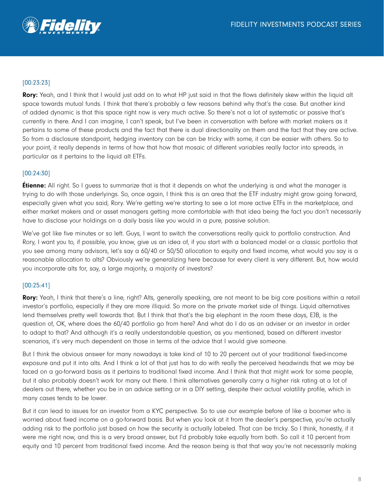

## [00:23:23]

Rory: Yeah, and I think that I would just add on to what HP just said in that the flows definitely skew within the liquid alt space towards mutual funds. I think that there's probably a few reasons behind why that's the case. But another kind of added dynamic is that this space right now is very much active. So there's not a lot of systematic or passive that's currently in there. And I can imagine, I can't speak, but I've been in conversation with before with market makers as it pertains to some of these products and the fact that there is dual directionality on them and the fact that they are active. So from a disclosure standpoint, hedging inventory can be can be tricky with some, it can be easier with others. So to your point, it really depends in terms of how that how that mosaic of different variables really factor into spreads, in particular as it pertains to the liquid alt ETFs.

#### [00:24:30]

**Étienne:** All right. So I guess to summarize that is that it depends on what the underlying is and what the manager is trying to do with those underlyings. So, once again, I think this is an area that the ETF industry might grow going forward, especially given what you said, Rory. We're getting we're starting to see a lot more active ETFs in the marketplace, and either market makers and or asset managers getting more comfortable with that idea being the fact you don't necessarily have to disclose your holdings on a daily basis like you would in a pure, passive solution.

We've got like five minutes or so left. Guys, I want to switch the conversations really quick to portfolio construction. And Rory, I want you to, if possible, you know, give us an idea of, if you start with a balanced model or a classic portfolio that you see among many advisors, let's say a 60/40 or 50/50 allocation to equity and fixed income, what would you say is a reasonable allocation to alts? Obviously we're generalizing here because for every client is very different. But, how would you incorporate alts for, say, a large majority, a majority of investors?

#### [00:25:41]

Rory: Yeah, I think that there's a line, right? Alts, generally speaking, are not meant to be big core positions within a retail investor's portfolio, especially if they are more illiquid. So more on the private market side of things. Liquid alternatives lend themselves pretty well towards that. But I think that that's the big elephant in the room these days, EJB, is the question of, OK, where does the 60/40 portfolio go from here? And what do I do as an adviser or an investor in order to adapt to that? And although it's a really understandable question, as you mentioned, based on different investor scenarios, it's very much dependent on those in terms of the advice that I would give someone.

But I think the obvious answer for many nowadays is take kind of 10 to 20 percent out of your traditional fixed-income exposure and put it into alts. And I think a lot of that just has to do with really the perceived headwinds that we may be faced on a go-forward basis as it pertains to traditional fixed income. And I think that that might work for some people, but it also probably doesn't work for many out there. I think alternatives generally carry a higher risk rating at a lot of dealers out there, whether you be in an advice setting or in a DIY setting, despite their actual volatility profile, which in many cases tends to be lower.

But it can lead to issues for an investor from a KYC perspective. So to use our example before of like a boomer who is worried about fixed income on a go-forward basis. But when you look at it from the dealer's perspective, you're actually adding risk to the portfolio just based on how the security is actually labeled. That can be tricky. So I think, honestly, if it were me right now, and this is a very broad answer, but I'd probably take equally from both. So call it 10 percent from equity and 10 percent from traditional fixed income. And the reason being is that that way you're not necessarily making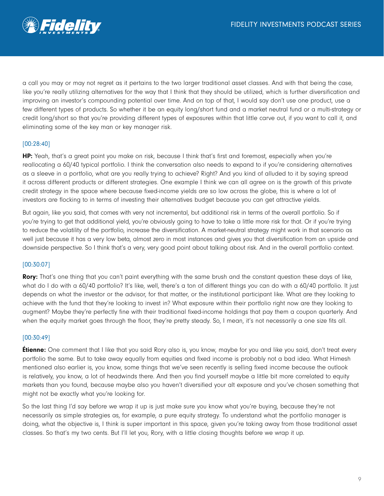

a call you may or may not regret as it pertains to the two larger traditional asset classes. And with that being the case, like you're really utilizing alternatives for the way that I think that they should be utilized, which is further diversification and improving an investor's compounding potential over time. And on top of that, I would say don't use one product, use a few different types of products. So whether it be an equity long/short fund and a market neutral fund or a multi-strategy or credit long/short so that you're providing different types of exposures within that little carve out, if you want to call it, and eliminating some of the key man or key manager risk.

#### [00:28:40]

HP: Yeah, that's a great point you make on risk, because I think that's first and foremost, especially when you're reallocating a 60/40 typical portfolio. I think the conversation also needs to expand to if you're considering alternatives as a sleeve in a portfolio, what are you really trying to achieve? Right? And you kind of alluded to it by saying spread it across different products or different strategies. One example I think we can all agree on is the growth of this private credit strategy in the space where because fixed-income yields are so low across the globe, this is where a lot of investors are flocking to in terms of investing their alternatives budget because you can get attractive yields.

But again, like you said, that comes with very not incremental, but additional risk in terms of the overall portfolio. So if you're trying to get that additional yield, you're obviously going to have to take a little more risk for that. Or if you're trying to reduce the volatility of the portfolio, increase the diversification. A market-neutral strategy might work in that scenario as well just because it has a very low beta, almost zero in most instances and gives you that diversification from an upside and downside perspective. So I think that's a very, very good point about talking about risk. And in the overall portfolio context.

#### [00:30:07]

Rory: That's one thing that you can't paint everything with the same brush and the constant question these days of like, what do I do with a 60/40 portfolio? It's like, well, there's a ton of different things you can do with a 60/40 portfolio. It just depends on what the investor or the advisor, for that matter, or the institutional participant like. What are they looking to achieve with the fund that they're looking to invest in? What exposure within their portfolio right now are they looking to augment? Maybe they're perfectly fine with their traditional fixed-income holdings that pay them a coupon quarterly. And when the equity market goes through the floor, they're pretty steady. So, I mean, it's not necessarily a one size fits all.

#### [00:30:49]

**Étienne:** One comment that I like that you said Rory also is, you know, maybe for you and like you said, don't treat every portfolio the same. But to take away equally from equities and fixed income is probably not a bad idea. What Himesh mentioned also earlier is, you know, some things that we've seen recently is selling fixed income because the outlook is relatively, you know, a lot of headwinds there. And then you find yourself maybe a little bit more correlated to equity markets than you found, because maybe also you haven't diversified your alt exposure and you've chosen something that might not be exactly what you're looking for.

So the last thing I'd say before we wrap it up is just make sure you know what you're buying, because they're not necessarily as simple strategies as, for example, a pure equity strategy. To understand what the portfolio manager is doing, what the objective is, I think is super important in this space, given you're taking away from those traditional asset classes. So that's my two cents. But I'll let you, Rory, with a little closing thoughts before we wrap it up.